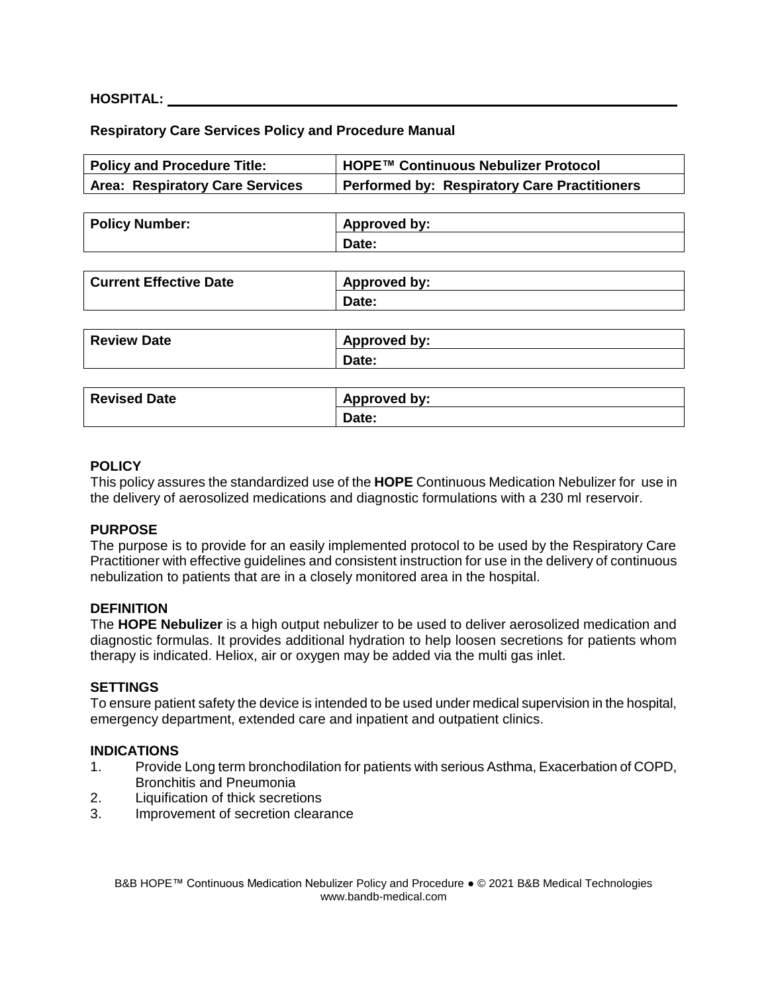#### **HOSPITAL:**

## **Respiratory Care Services Policy and Procedure Manual**

| <b>Policy and Procedure Title:</b>     | HOPE™ Continuous Nebulizer Protocol                 |  |  |
|----------------------------------------|-----------------------------------------------------|--|--|
| <b>Area: Respiratory Care Services</b> | <b>Performed by: Respiratory Care Practitioners</b> |  |  |
|                                        |                                                     |  |  |
| <b>Policy Number:</b>                  | Approved by:                                        |  |  |
|                                        | Date:                                               |  |  |
|                                        |                                                     |  |  |
| <b>Current Effective Date</b>          | Approved by:                                        |  |  |
|                                        | Date:                                               |  |  |
|                                        |                                                     |  |  |
| <b>Review Date</b>                     | Approved by:                                        |  |  |
|                                        | Date:                                               |  |  |
|                                        |                                                     |  |  |
| <b>Revised Date</b>                    | Approved by:                                        |  |  |
|                                        | Date:                                               |  |  |

#### **POLICY**

This policy assures the standardized use of the **HOPE** Continuous Medication Nebulizer for use in the delivery of aerosolized medications and diagnostic formulations with a 230 ml reservoir.

#### **PURPOSE**

The purpose is to provide for an easily implemented protocol to be used by the Respiratory Care Practitioner with effective guidelines and consistent instruction for use in the delivery of continuous nebulization to patients that are in a closely monitored area in the hospital.

#### **DEFINITION**

The **HOPE Nebulizer** is a high output nebulizer to be used to deliver aerosolized medication and diagnostic formulas. It provides additional hydration to help loosen secretions for patients whom therapy is indicated. Heliox, air or oxygen may be added via the multi gas inlet.

#### **SETTINGS**

To ensure patient safety the device is intended to be used under medical supervision in the hospital, emergency department, extended care and inpatient and outpatient clinics.

#### **INDICATIONS**

- 1. Provide Long term bronchodilation for patients with serious Asthma, Exacerbation of COPD, Bronchitis and Pneumonia
- 2. Liquification of thick secretions
- 3. Improvement of secretion clearance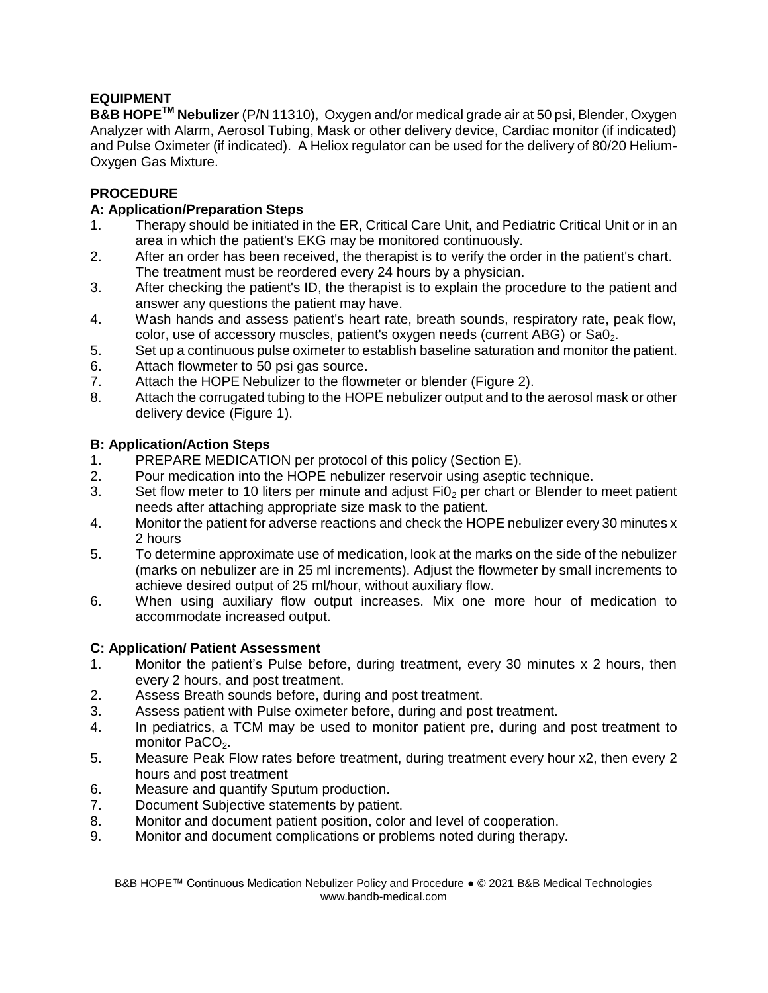# **EQUIPMENT**

**B&B HOPETM Nebulizer** (P/N 11310), Oxygen and/or medical grade air at 50 psi, Blender, Oxygen Analyzer with Alarm, Aerosol Tubing, Mask or other delivery device, Cardiac monitor (if indicated) and Pulse Oximeter (if indicated). A Heliox regulator can be used for the delivery of 80/20 Helium-Oxygen Gas Mixture.

# **PROCEDURE**

# **A: Application/Preparation Steps**

- 1. Therapy should be initiated in the ER, Critical Care Unit, and Pediatric Critical Unit or in an area in which the patient's EKG may be monitored continuously.
- 2. After an order has been received, the therapist is to verify the order in the patient's chart. The treatment must be reordered every 24 hours by a physician.
- 3. After checking the patient's ID, the therapist is to explain the procedure to the patient and answer any questions the patient may have.
- 4. Wash hands and assess patient's heart rate, breath sounds, respiratory rate, peak flow, color, use of accessory muscles, patient's oxygen needs (current ABG) or  $SaO<sub>2</sub>$ .
- 5. Set up a continuous pulse oximeter to establish baseline saturation and monitor the patient.
- 6. Attach flowmeter to 50 psi gas source.
- 7. Attach the HOPE Nebulizer to the flowmeter or blender (Figure 2).
- 8. Attach the corrugated tubing to the HOPE nebulizer output and to the aerosol mask or other delivery device (Figure 1).

# **B: Application/Action Steps**

- 1. PREPARE MEDICATION per protocol of this policy (Section E).
- 2. Pour medication into the HOPE nebulizer reservoir using aseptic technique.
- 3. Set flow meter to 10 liters per minute and adjust  $Fi0<sub>2</sub>$  per chart or Blender to meet patient needs after attaching appropriate size mask to the patient.
- 4. Monitor the patient for adverse reactions and check the HOPE nebulizer every 30 minutes x 2 hours
- 5. To determine approximate use of medication, look at the marks on the side of the nebulizer (marks on nebulizer are in 25 ml increments). Adjust the flowmeter by small increments to achieve desired output of 25 ml/hour, without auxiliary flow.
- 6. When using auxiliary flow output increases. Mix one more hour of medication to accommodate increased output.

## **C: Application/ Patient Assessment**

- 1. Monitor the patient's Pulse before, during treatment, every 30 minutes x 2 hours, then every 2 hours, and post treatment.
- 2. Assess Breath sounds before, during and post treatment.
- 3. Assess patient with Pulse oximeter before, during and post treatment.
- 4. In pediatrics, a TCM may be used to monitor patient pre, during and post treatment to monitor PaCO $2$ .
- 5. Measure Peak Flow rates before treatment, during treatment every hour x2, then every 2 hours and post treatment
- 6. Measure and quantify Sputum production.
- 7. Document Subjective statements by patient.
- 8. Monitor and document patient position, color and level of cooperation.
- 9. Monitor and document complications or problems noted during therapy.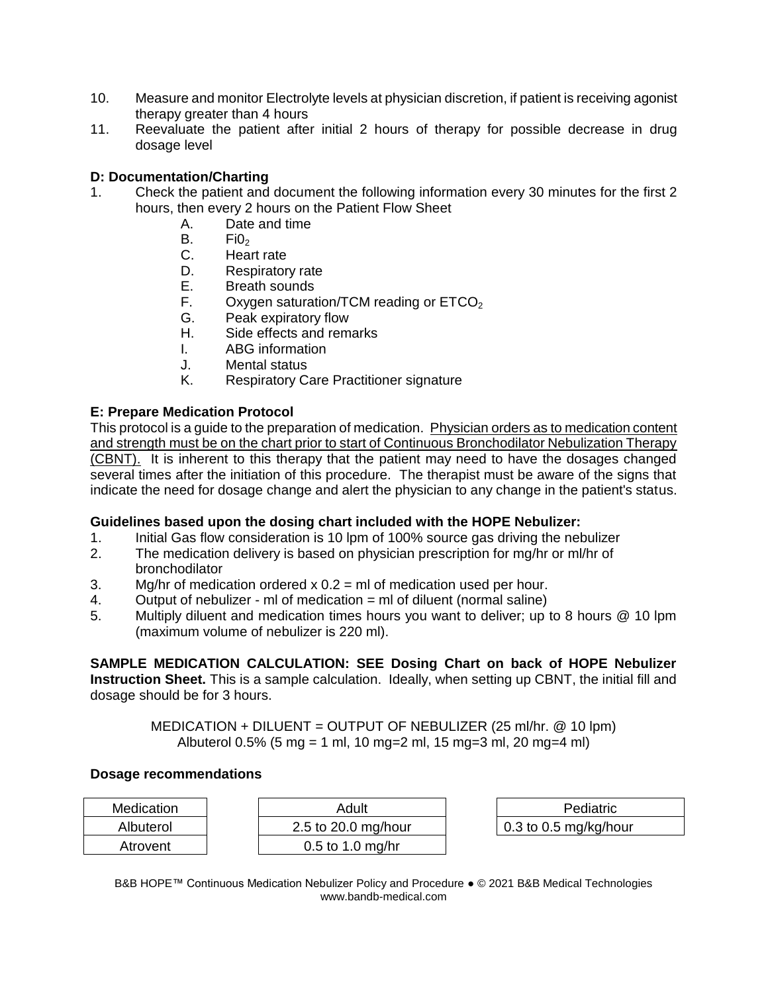- 10. Measure and monitor Electrolyte levels at physician discretion, if patient is receiving agonist therapy greater than 4 hours
- 11. Reevaluate the patient after initial 2 hours of therapy for possible decrease in drug dosage level

## **D: Documentation/Charting**

- 1. Check the patient and document the following information every 30 minutes for the first 2 hours, then every 2 hours on the Patient Flow Sheet
	- A. Date and time
	- $B.$  Fi $0<sub>2</sub>$
	- C. Heart rate
	- D. Respiratory rate
	- E. Breath sounds
	- F. Oxygen saturation/TCM reading or  $ETCO<sub>2</sub>$ <br>G. Peak expiratory flow
	- Peak expiratory flow
	- H. Side effects and remarks
	- I. ABG information
	- J. Mental status
	- K. Respiratory Care Practitioner signature

## **E: Prepare Medication Protocol**

This protocol is a guide to the preparation of medication. Physician orders as to medication content and strength must be on the chart prior to start of Continuous Bronchodilator Nebulization Therapy (CBNT). It is inherent to this therapy that the patient may need to have the dosages changed several times after the initiation of this procedure. The therapist must be aware of the signs that indicate the need for dosage change and alert the physician to any change in the patient's status.

## **Guidelines based upon the dosing chart included with the HOPE Nebulizer:**

- 1. Initial Gas flow consideration is 10 lpm of 100% source gas driving the nebulizer
- 2. The medication delivery is based on physician prescription for mg/hr or ml/hr of bronchodilator
- 3. Mg/hr of medication ordered  $x = 0.2$  = ml of medication used per hour.
- 4. Output of nebulizer ml of medication = ml of diluent (normal saline)
- 5. Multiply diluent and medication times hours you want to deliver; up to 8 hours @ 10 lpm (maximum volume of nebulizer is 220 ml).

# **SAMPLE MEDICATION CALCULATION: SEE Dosing Chart on back of HOPE Nebulizer**

**Instruction Sheet.** This is a sample calculation. Ideally, when setting up CBNT, the initial fill and dosage should be for 3 hours.

> MEDICATION + DILUENT = OUTPUT OF NEBULIZER (25 ml/hr. @ 10 lpm) Albuterol 0.5% (5 mg = 1 ml, 10 mg=2 ml, 15 mg=3 ml, 20 mg=4 ml)

#### **Dosage recommendations**

| Medication | Adult               |  | Pediatric                     |
|------------|---------------------|--|-------------------------------|
| Albuterol  | 2.5 to 20.0 mg/hour |  | $\vert$ 0.3 to 0.5 mg/kg/hour |
| Atrovent   | $0.5$ to 1.0 mg/hr  |  |                               |

B&B HOPE™ Continuous Medication Nebulizer Policy and Procedure ● © 2021 B&B Medical Technologies www.bandb-medical.com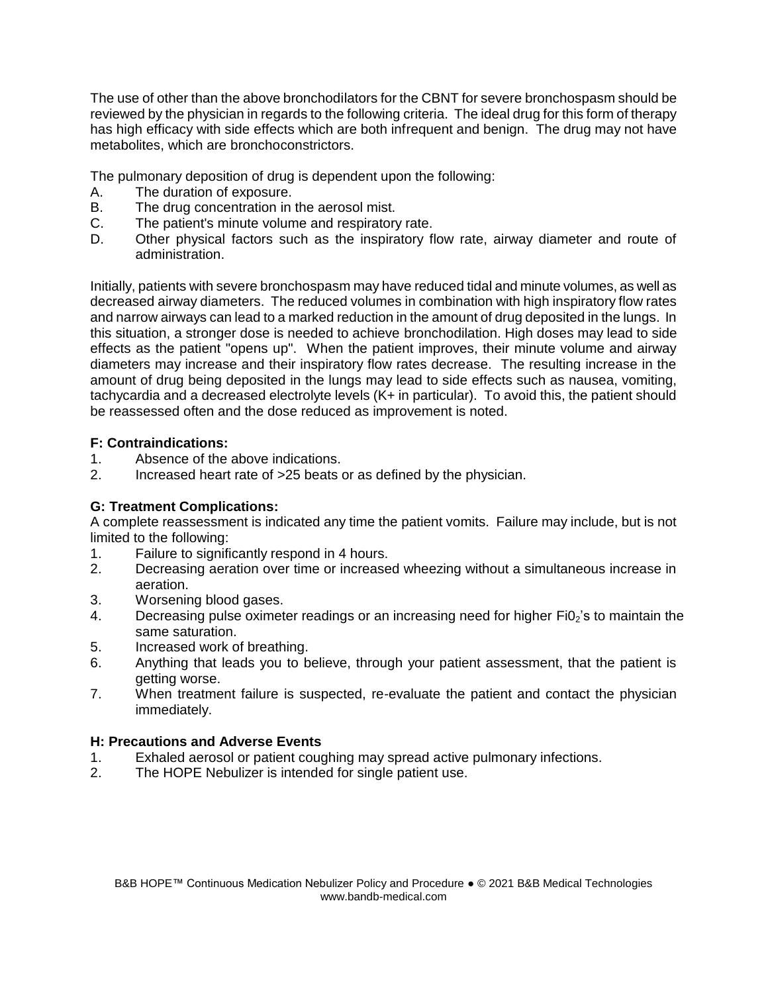The use of other than the above bronchodilators for the CBNT for severe bronchospasm should be reviewed by the physician in regards to the following criteria. The ideal drug for this form of therapy has high efficacy with side effects which are both infrequent and benign. The drug may not have metabolites, which are bronchoconstrictors.

The pulmonary deposition of drug is dependent upon the following:

- A. The duration of exposure.
- B. The drug concentration in the aerosol mist.
- C. The patient's minute volume and respiratory rate.
- D. Other physical factors such as the inspiratory flow rate, airway diameter and route of administration.

Initially, patients with severe bronchospasm may have reduced tidal and minute volumes, as well as decreased airway diameters. The reduced volumes in combination with high inspiratory flow rates and narrow airways can lead to a marked reduction in the amount of drug deposited in the lungs. In this situation, a stronger dose is needed to achieve bronchodilation. High doses may lead to side effects as the patient "opens up". When the patient improves, their minute volume and airway diameters may increase and their inspiratory flow rates decrease. The resulting increase in the amount of drug being deposited in the lungs may lead to side effects such as nausea, vomiting, tachycardia and a decreased electrolyte levels (K+ in particular). To avoid this, the patient should be reassessed often and the dose reduced as improvement is noted.

## **F: Contraindications:**

- 1. Absence of the above indications.
- 2. Increased heart rate of >25 beats or as defined by the physician.

# **G: Treatment Complications:**

A complete reassessment is indicated any time the patient vomits. Failure may include, but is not limited to the following:

- 1. Failure to significantly respond in 4 hours.
- 2. Decreasing aeration over time or increased wheezing without a simultaneous increase in aeration.
- 3. Worsening blood gases.
- 4. Decreasing pulse oximeter readings or an increasing need for higher Fi0<sub>2</sub>'s to maintain the same saturation.
- 5. Increased work of breathing.
- 6. Anything that leads you to believe, through your patient assessment, that the patient is getting worse.
- 7. When treatment failure is suspected, re-evaluate the patient and contact the physician immediately.

## **H: Precautions and Adverse Events**

- 1. Exhaled aerosol or patient coughing may spread active pulmonary infections.
- 2. The HOPE Nebulizer is intended for single patient use.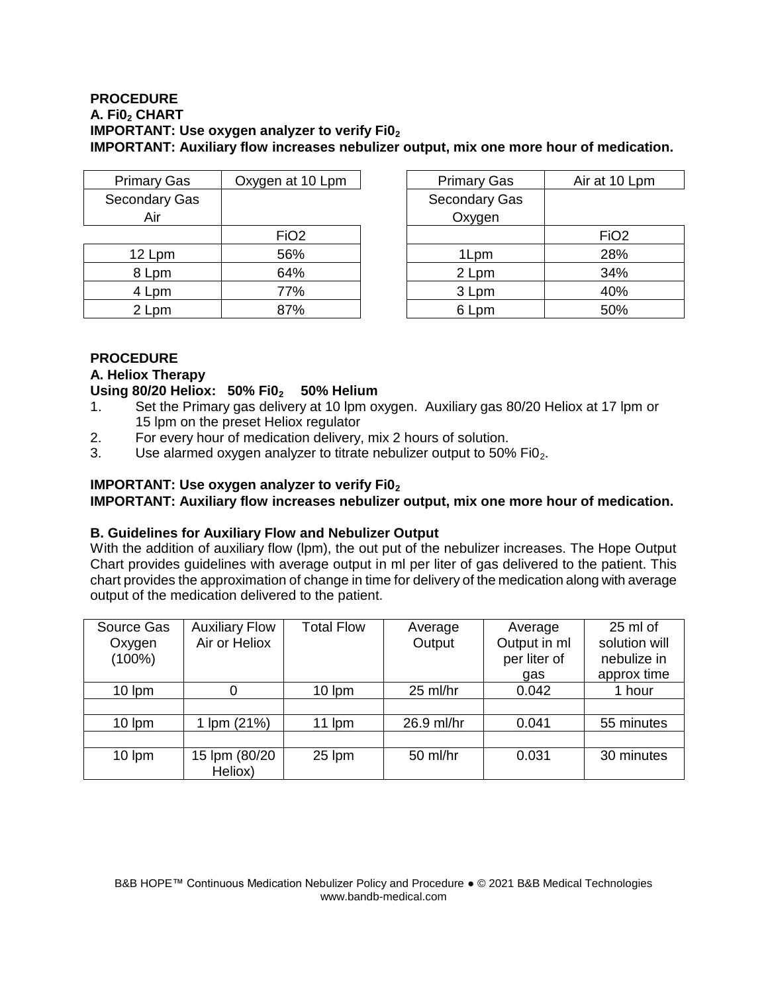#### **PROCEDURE A. Fi0<sup>2</sup> CHART IMPORTANT: Use oxygen analyzer to verify Fi0<sup>2</sup> IMPORTANT: Auxiliary flow increases nebulizer output, mix one more hour of medication.**

| <b>Primary Gas</b> | Oxygen at 10 Lpm | <b>Primary Gas</b> | Air at 10        |
|--------------------|------------------|--------------------|------------------|
| Secondary Gas      |                  | Secondary Gas      |                  |
| Air                |                  | Oxygen             |                  |
|                    | FiO <sub>2</sub> |                    | FiO <sub>2</sub> |
| 12 Lpm             | 56%              | 1Lpm               | 28%              |
| 8 Lpm              | 64%              | 2 Lpm              | 34%              |
| 4 Lpm              | 77%              | 3 Lpm              | 40%              |
| 2 Lpm              | 87%              | 6 Lpm              | 50%              |

| <b>Primary Gas</b> | Oxygen at 10 Lpm | <b>Primary Gas</b> | Air at 10 Lpm    |  |
|--------------------|------------------|--------------------|------------------|--|
| econdary Gas       |                  | Secondary Gas      |                  |  |
| Air                |                  | Oxygen             |                  |  |
|                    | FiO <sub>2</sub> |                    | FiO <sub>2</sub> |  |
| 12 Lpm             | 56%              | 1Lpm               | 28%              |  |
| 8 Lpm              | 64%              | 2 Lpm              | 34%              |  |
| 4 Lpm              | 77%              | 3 Lpm              | 40%              |  |
| 2 Lpm              | 87%              | 6 Lpm              | 50%              |  |

# **PROCEDURE**

# **A. Heliox Therapy**

## **Using 80/20 Heliox: 50% Fi02 50% Helium**

- 1. Set the Primary gas delivery at 10 lpm oxygen. Auxiliary gas 80/20 Heliox at 17 lpm or 15 lpm on the preset Heliox regulator
- 2. For every hour of medication delivery, mix 2 hours of solution.
- 3. Use alarmed oxygen analyzer to titrate nebulizer output to  $50\%$  Fi $0<sub>2</sub>$ .

# **IMPORTANT: Use oxygen analyzer to verify Fi0<sup>2</sup>**

**IMPORTANT: Auxiliary flow increases nebulizer output, mix one more hour of medication.**

## **B. Guidelines for Auxiliary Flow and Nebulizer Output**

With the addition of auxiliary flow (lpm), the out put of the nebulizer increases. The Hope Output Chart provides guidelines with average output in ml per liter of gas delivered to the patient. This chart provides the approximation of change in time for delivery of the medication along with average output of the medication delivered to the patient.

| Source Gas<br>Oxygen<br>$(100\%)$ | <b>Auxiliary Flow</b><br>Air or Heliox | <b>Total Flow</b> | Average<br>Output | Average<br>Output in ml<br>per liter of<br>gas | 25 ml of<br>solution will<br>nebulize in<br>approx time |
|-----------------------------------|----------------------------------------|-------------------|-------------------|------------------------------------------------|---------------------------------------------------------|
| $10 \, \text{lpm}$                | 0                                      | 10 lpm            | 25 ml/hr          | 0.042                                          | 1 hour                                                  |
|                                   |                                        |                   |                   |                                                |                                                         |
| 10 lpm                            | Im(21%)                                | 11 lpm            | 26.9 ml/hr        | 0.041                                          | 55 minutes                                              |
|                                   |                                        |                   |                   |                                                |                                                         |
| 10 lpm                            | 15 lpm (80/20<br>Heliox)               | 25 lpm            | 50 ml/hr          | 0.031                                          | 30 minutes                                              |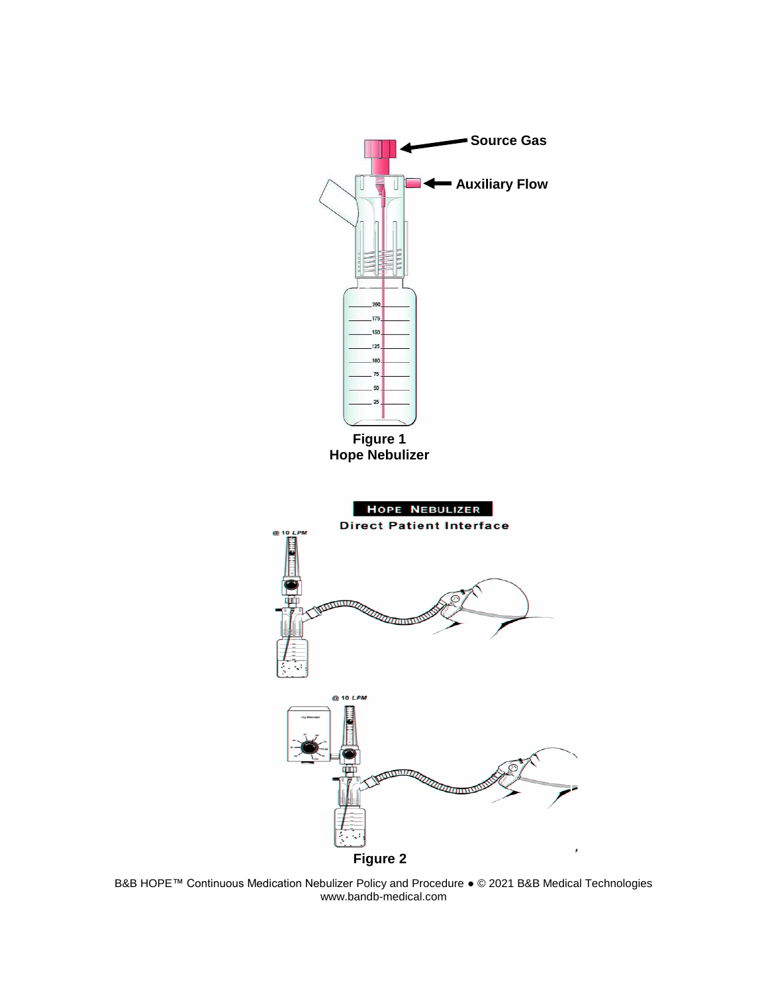

B&B HOPE™ Continuous Medication Nebulizer Policy and Procedure ● © 2021 B&B Medical Technologies www.bandb-medical.com